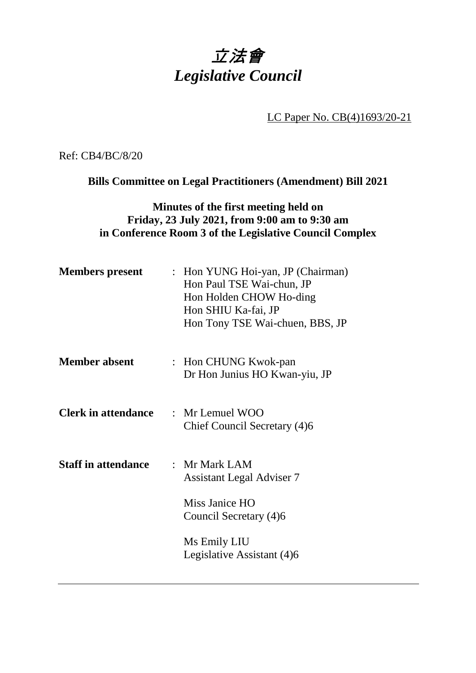# 立法會 *Legislative Council*

LC Paper No. CB(4)1693/20-21

Ref: CB4/BC/8/20

**Bills Committee on Legal Practitioners (Amendment) Bill 2021**

# **Minutes of the first meeting held on Friday, 23 July 2021, from 9:00 am to 9:30 am in Conference Room 3 of the Legislative Council Complex**

| <b>Members present</b>     | : Hon YUNG Hoi-yan, JP (Chairman)<br>Hon Paul TSE Wai-chun, JP<br>Hon Holden CHOW Ho-ding<br>Hon SHIU Ka-fai, JP<br>Hon Tony TSE Wai-chuen, BBS, JP |
|----------------------------|-----------------------------------------------------------------------------------------------------------------------------------------------------|
| <b>Member absent</b>       | : Hon CHUNG Kwok-pan<br>Dr Hon Junius HO Kwan-yiu, JP                                                                                               |
| <b>Clerk in attendance</b> | $\therefore$ Mr Lemuel WOO<br>Chief Council Secretary (4)6                                                                                          |
| <b>Staff in attendance</b> | : Mr Mark LAM<br><b>Assistant Legal Adviser 7</b><br>Miss Janice HO<br>Council Secretary (4)6<br>Ms Emily LIU<br>Legislative Assistant (4)6         |
|                            |                                                                                                                                                     |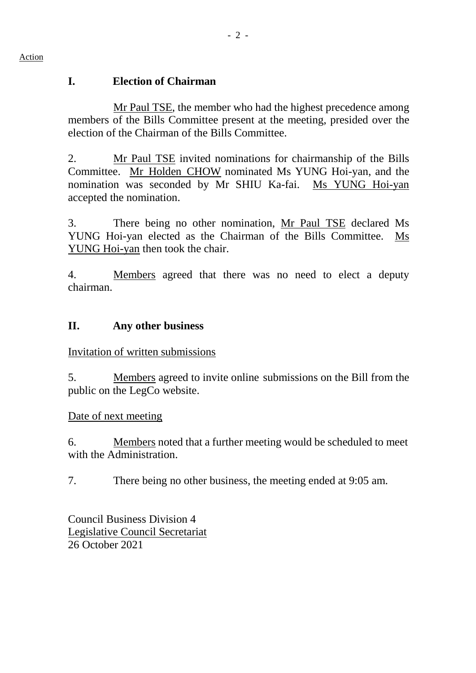#### Action

## **I. Election of Chairman**

Mr Paul TSE, the member who had the highest precedence among members of the Bills Committee present at the meeting, presided over the election of the Chairman of the Bills Committee.

2. Mr Paul TSE invited nominations for chairmanship of the Bills Committee. Mr Holden CHOW nominated Ms YUNG Hoi-yan, and the nomination was seconded by Mr SHIU Ka-fai. Ms YUNG Hoi-yan accepted the nomination.

3. There being no other nomination, Mr Paul TSE declared Ms YUNG Hoi-yan elected as the Chairman of the Bills Committee. Ms YUNG Hoi-yan then took the chair.

4. Members agreed that there was no need to elect a deputy chairman.

# **II. Any other business**

Invitation of written submissions

5. Members agreed to invite online submissions on the Bill from the public on the LegCo website.

## Date of next meeting

6. Members noted that a further meeting would be scheduled to meet with the Administration.

7. There being no other business, the meeting ended at 9:05 am.

Council Business Division 4 Legislative Council Secretariat 26 October 2021